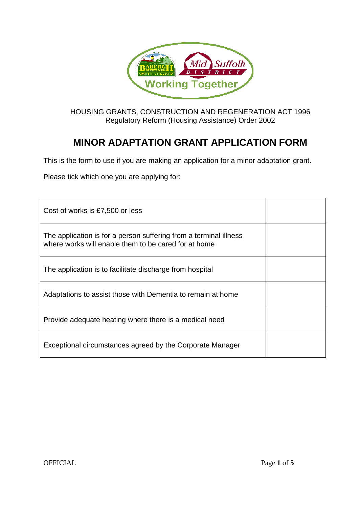

HOUSING GRANTS, CONSTRUCTION AND REGENERATION ACT 1996 Regulatory Reform (Housing Assistance) Order 2002

# **MINOR ADAPTATION GRANT APPLICATION FORM**

This is the form to use if you are making an application for a minor adaptation grant.

Please tick which one you are applying for:

| Cost of works is £7,500 or less                                                                                           |  |
|---------------------------------------------------------------------------------------------------------------------------|--|
| The application is for a person suffering from a terminal illness<br>where works will enable them to be cared for at home |  |
| The application is to facilitate discharge from hospital                                                                  |  |
| Adaptations to assist those with Dementia to remain at home                                                               |  |
| Provide adequate heating where there is a medical need                                                                    |  |
| Exceptional circumstances agreed by the Corporate Manager                                                                 |  |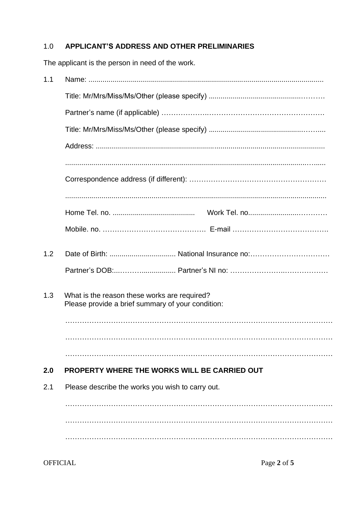## 1.0 **APPLICANT'S ADDRESS AND OTHER PRELIMINARIES**

The applicant is the person in need of the work.

| 1.1 |                                                                                                   |
|-----|---------------------------------------------------------------------------------------------------|
|     |                                                                                                   |
|     |                                                                                                   |
|     |                                                                                                   |
|     |                                                                                                   |
|     |                                                                                                   |
|     |                                                                                                   |
|     |                                                                                                   |
|     |                                                                                                   |
|     |                                                                                                   |
| 1.2 |                                                                                                   |
|     |                                                                                                   |
| 1.3 | What is the reason these works are required?<br>Please provide a brief summary of your condition: |
|     |                                                                                                   |
| 2.0 | <b>PROPERTY WHERE THE WORKS WILL BE CARRIED OUT</b>                                               |
| 2.1 | Please describe the works you wish to carry out.                                                  |
|     |                                                                                                   |
|     |                                                                                                   |
|     |                                                                                                   |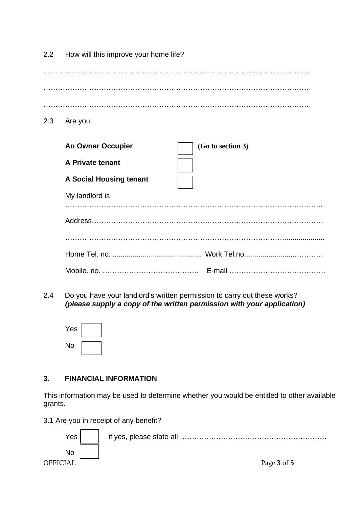| 2.2 | How will this improve your home life?         |
|-----|-----------------------------------------------|
|     |                                               |
|     |                                               |
| 2.3 | Are you:                                      |
|     | <b>An Owner Occupier</b><br>(Go to section 3) |
|     | A Private tenant                              |
|     | <b>A Social Housing tenant</b>                |
|     | My landlord is                                |
|     |                                               |
|     |                                               |
|     |                                               |
|     |                                               |

2.4 Do you have your landlord's written permission to carry out these works? *(please supply a copy of the written permission with your application)*

| Yes |  |
|-----|--|
| No  |  |

## **3. FINANCIAL INFORMATION**

This information may be used to determine whether you would be entitled to other available grants.

3.1 Are you in receipt of any benefit?

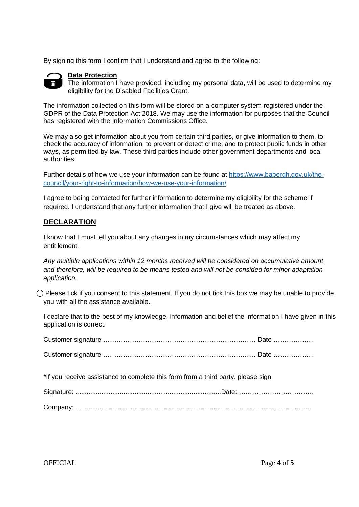By signing this form I confirm that I understand and agree to the following:



#### **Data Protection**

The information I have provided, including my personal data, will be used to determine my eligibility for the Disabled Facilities Grant.

The information collected on this form will be stored on a computer system registered under the GDPR of the Data Protection Act 2018. We may use the information for purposes that the Council has registered with the Information Commissions Office.

We may also get information about you from certain third parties, or give information to them, to check the accuracy of information; to prevent or detect crime; and to protect public funds in other ways, as permitted by law. These third parties include other government departments and local authorities.

Further details of how we use your information can be found at [https://www.babergh.gov.uk/the](https://www.babergh.gov.uk/the-council/your-right-to-information/how-we-use-your-information/)[council/your-right-to-information/how-we-use-your-information/](https://www.babergh.gov.uk/the-council/your-right-to-information/how-we-use-your-information/)

I agree to being contacted for further information to determine my eligibility for the scheme if required. I undertstand that any further information that I give will be treated as above.

### **DECLARATION**

I know that I must tell you about any changes in my circumstances which may affect my entitilement.

*Any multiple applications within 12 months received will be considered on accumulative amount and therefore, will be required to be means tested and will not be consided for minor adaptation application.*

 $\bigcap$  Please tick if you consent to this statement. If you do not tick this box we may be unable to provide you with all the assistance available.

I declare that to the best of my knowledge, information and belief the information I have given in this application is correct.

| *If you receive assistance to complete this form from a third party, please sign |  |  |  |
|----------------------------------------------------------------------------------|--|--|--|
|                                                                                  |  |  |  |
|                                                                                  |  |  |  |

OFFICIAL Page **4** of **5**